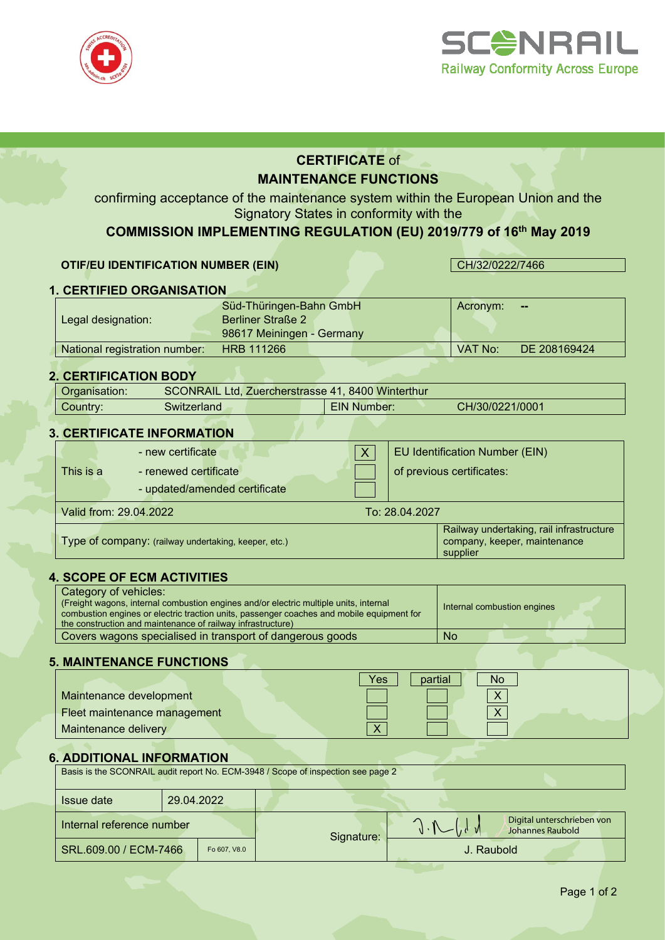



# **CERTIFICATE** of **MAINTENANCE FUNCTIONS**

confirming acceptance of the maintenance system within the European Union and the Signatory States in conformity with the

# **COMMISSION IMPLEMENTING REGULATION (EU) 2019/779 of 16th May 2019**

#### **OTIF/EU IDENTIFICATION NUMBER (EIN)** CH/32/0222/7466

Acronym: **--**

# **1. CERTIFIED ORGANISATION** Süd-Thüringen-Bahn GmbH

Legal designation: Berliner Straße 2 98617 Meiningen - Germany National registration number: HRB 111266 VAT No: DE 208169424

#### **2. CERTIFICATION BODY**

| Organisation: | SCONRAIL Ltd, Zuercherstrasse 41, 8400 Winterthur |  |                    |                 |  |
|---------------|---------------------------------------------------|--|--------------------|-----------------|--|
| Country:      | Switzerland.                                      |  | <b>EIN Number:</b> | CH/30/0221/0001 |  |
|               |                                                   |  |                    |                 |  |

#### **3. CERTIFICATE INFORMATION**

|                                                      | - new certificate             |                | EU Identification Number (EIN)                                                       |  |
|------------------------------------------------------|-------------------------------|----------------|--------------------------------------------------------------------------------------|--|
| This is a                                            | - renewed certificate         |                | of previous certificates:                                                            |  |
|                                                      | - updated/amended certificate |                |                                                                                      |  |
| Valid from: 29.04.2022                               |                               | To: 28.04.2027 |                                                                                      |  |
| Type of company: (railway undertaking, keeper, etc.) |                               |                | Railway undertaking, rail infrastructure<br>company, keeper, maintenance<br>supplier |  |

#### **4. SCOPE OF ECM ACTIVITIES**

| Category of vehicles:<br>(Freight wagons, internal combustion engines and/or electric multiple units, internal<br>combustion engines or electric traction units, passenger coaches and mobile equipment for<br>the construction and maintenance of railway infrastructure) | Internal combustion engines |  |  |  |  |
|----------------------------------------------------------------------------------------------------------------------------------------------------------------------------------------------------------------------------------------------------------------------------|-----------------------------|--|--|--|--|
| Covers wagons specialised in transport of dangerous goods                                                                                                                                                                                                                  | No                          |  |  |  |  |

#### **5. MAINTENANCE FUNCTIONS**

|                              | Yes<br>partial<br>No |
|------------------------------|----------------------|
| Maintenance development      |                      |
| Fleet maintenance management |                      |
| Maintenance delivery         | $\mathbf{v}$         |

## **6. ADDITIONAL INFORMATION**

| Basis is the SCONRAIL audit report No. ECM-3948 / Scope of inspection see page 2 |            |            |                                                |  |  |  |  |
|----------------------------------------------------------------------------------|------------|------------|------------------------------------------------|--|--|--|--|
| <b>Issue date</b>                                                                | 29.04.2022 |            |                                                |  |  |  |  |
| Internal reference number                                                        |            | Signature: | Digital unterschrieben von<br>Johannes Raubold |  |  |  |  |
| SRL.609.00 / ECM-7466<br>Fo 607, V8.0                                            |            |            | J. Raubold                                     |  |  |  |  |